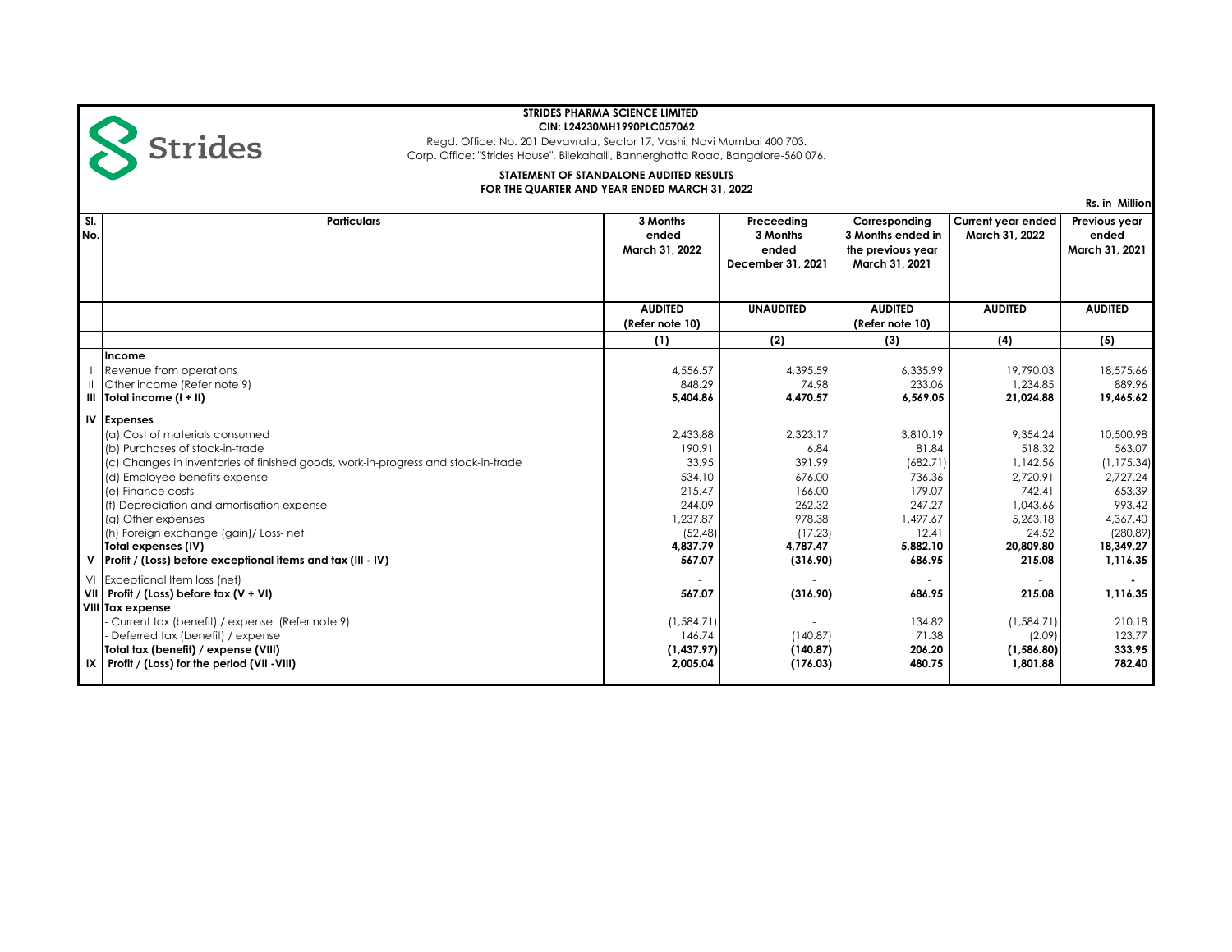

Corp. Office: "Strides House", Bilekahalli, Bannerghatta Road, Bangalore-560 076. Regd. Office: No. 201 Devavrata, Sector 17, Vashi, Navi Mumbai 400 703.

# **STATEMENT OF STANDALONE AUDITED RESULTS FOR THE QUARTER AND YEAR ENDED MARCH 31, 2022**

**Rs. in Million**

| SI.<br>No. | <b>Particulars</b>                                                                                                                                                                                                                                                                                                                                                                                                                    | 3 Months<br>ended<br>March 31, 2022                                                                    | Preceeding<br>3 Months<br>ended<br>December 31, 2021                                                  | Corresponding<br>3 Months ended in<br>the previous year<br>March 31, 2021                              | <b>Current year ended</b><br>March 31, 2022                                                                  | Previous year<br>ended<br>March 31, 2021                                                                            |
|------------|---------------------------------------------------------------------------------------------------------------------------------------------------------------------------------------------------------------------------------------------------------------------------------------------------------------------------------------------------------------------------------------------------------------------------------------|--------------------------------------------------------------------------------------------------------|-------------------------------------------------------------------------------------------------------|--------------------------------------------------------------------------------------------------------|--------------------------------------------------------------------------------------------------------------|---------------------------------------------------------------------------------------------------------------------|
|            |                                                                                                                                                                                                                                                                                                                                                                                                                                       | <b>AUDITED</b><br>(Refer note 10)                                                                      | <b>UNAUDITED</b>                                                                                      | <b>AUDITED</b><br>(Refer note 10)                                                                      | <b>AUDITED</b>                                                                                               | <b>AUDITED</b>                                                                                                      |
|            |                                                                                                                                                                                                                                                                                                                                                                                                                                       | (1)                                                                                                    | (2)                                                                                                   | (3)                                                                                                    | (4)                                                                                                          | (5)                                                                                                                 |
|            | Income<br>Revenue from operations<br>Other income (Refer note 9)<br>$\parallel$   Total income (1 + $\parallel$ )                                                                                                                                                                                                                                                                                                                     | 4,556.57<br>848.29<br>5,404.86                                                                         | 4,395.59<br>74.98<br>4,470.57                                                                         | 6,335.99<br>233.06<br>6,569.05                                                                         | 19,790.03<br>1.234.85<br>21,024.88                                                                           | 18,575.66<br>889.96<br>19,465.62                                                                                    |
| ۷          | <b>IV Expenses</b><br>(a) Cost of materials consumed<br>(b) Purchases of stock-in-trade<br>(c) Changes in inventories of finished goods, work-in-progress and stock-in-trade<br>(d) Employee benefits expense<br>(e) Finance costs<br>(f) Depreciation and amortisation expense<br>(g) Other expenses<br>(h) Foreign exchange (gain)/ Loss- net<br>Total expenses (IV)<br>Profit / (Loss) before exceptional items and tax (III - IV) | 2.433.88<br>190.91<br>33.95<br>534.10<br>215.47<br>244.09<br>1.237.87<br>(52.48)<br>4.837.79<br>567.07 | 2.323.17<br>6.84<br>391.99<br>676.00<br>166.00<br>262.32<br>978.38<br>(17.23)<br>4.787.47<br>(316.90) | 3.810.19<br>81.84<br>(682.71)<br>736.36<br>179.07<br>247.27<br>1.497.67<br>12.41<br>5,882.10<br>686.95 | 9.354.24<br>518.32<br>1,142.56<br>2,720.91<br>742.41<br>1,043.66<br>5.263.18<br>24.52<br>20,809.80<br>215.08 | 10,500.98<br>563.07<br>(1, 175.34)<br>2,727.24<br>653.39<br>993.42<br>4,367.40<br>(280.89)<br>18.349.27<br>1,116.35 |
|            | VI Exceptional Item loss (net)<br>VII   Profit / (Loss) before $\text{tax}(V + VI)$<br>VIII Tax expense<br>Current tax (benefit) / expense (Refer note 9)<br>Deferred tax (benefit) / expense<br>Total tax (benefit) / expense (VIII)<br>$IX$   Profit / (Loss) for the period (VII - VIII)                                                                                                                                           | 567.07<br>(1,584.71)<br>146.74<br>(1,437.97)<br>2,005.04                                               | (316.90)<br>(140.87)<br>(140.87)<br>(176.03)                                                          | 686.95<br>134.82<br>71.38<br>206.20<br>480.75                                                          | 215.08<br>(1, 584.71)<br>(2.09)<br>(1,586.80)<br>1,801.88                                                    | 1,116.35<br>210.18<br>123.77<br>333.95<br>782.40                                                                    |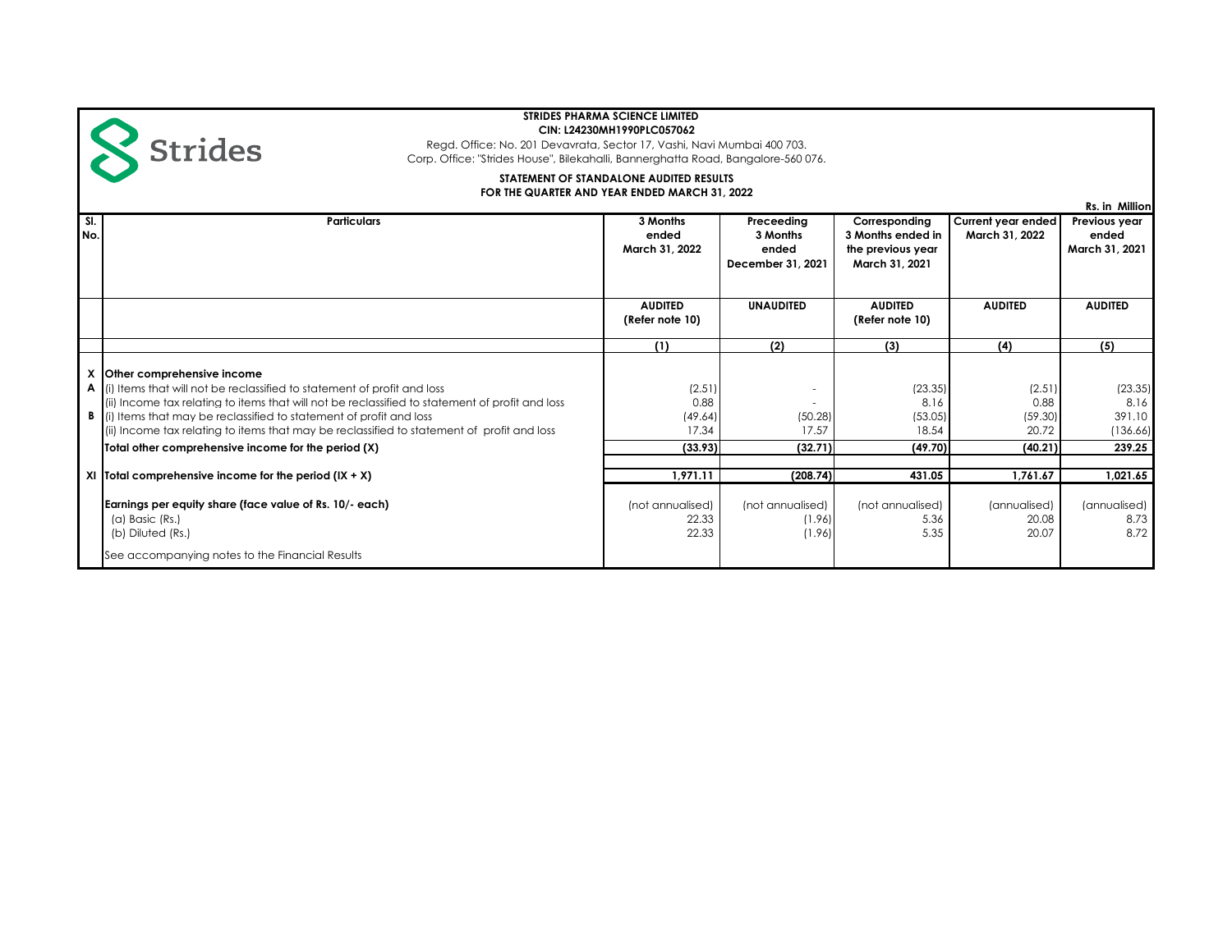Corp. Office: "Strides House", Bilekahalli, Bannerghatta Road, Bangalore-560 076. Regd. Office: No. 201 Devavrata, Sector 17, Vashi, Navi Mumbai 400 703.

#### **FOR THE QUARTER AND YEAR ENDED MARCH 31, 2022 STATEMENT OF STANDALONE AUDITED RESULTS**

**Sl. No.** **Strides** 

**Rs. in Million Particulars 3 Months ended March 31, 2022 Preceeding 3 Months ended December 31, 2021 Corresponding 3 Months ended in the previous year March 31, 2021 Current year ended March 31, 2022 Previous year ended March 31, 2021 AUDITED (Refer note 10) UNAUDITED AUDITED (Refer note 10) AUDITED AUDITED (1) (2) (3) (4) (5) X Other comprehensive income A** (i) Items that will not be reclassified to statement of profit and loss (2.51) (2.51) (23.35) (23.35) (23.35) (ii) Income tax relating to items that will not be reclassified to statement of profit and loss 0.88 - 8.16 0.88 8.16 **B** (i) Items that may be reclassified to statement of profit and loss (49.64) (49.64) (50.28) (59.30) (59.30) (59.30) (59.30) (59.30) (ii) Income tax relating to items that may be reclassified to statement of profit and loss 17.34 17.34 17.37 18.54 18.54 20.72 (136.66) **Total other comprehensive income for the period (X)** (33.93) (32.71) (32.71) (49.70) (40.21) (40.21) (40.21) 239.25 **XI Total comprehensive income for the period (IX + X) 1,971.11 (208.74) 431.05 1,761.67 1,021.65 Earnings per equity share (face value of Rs. 10/- each) (annualised)** (not annualised) (not annualised) (not annualised) (not annualised) (annualised) (annualised) (annualised) (a) Basic (Rs.) 22.33 (1.96) 5.36 20.08 8.73 (b) Diluted (Rs.) 22.33 (1.96) 5.35 20.07 8.72 See accompanying notes to the Financial Results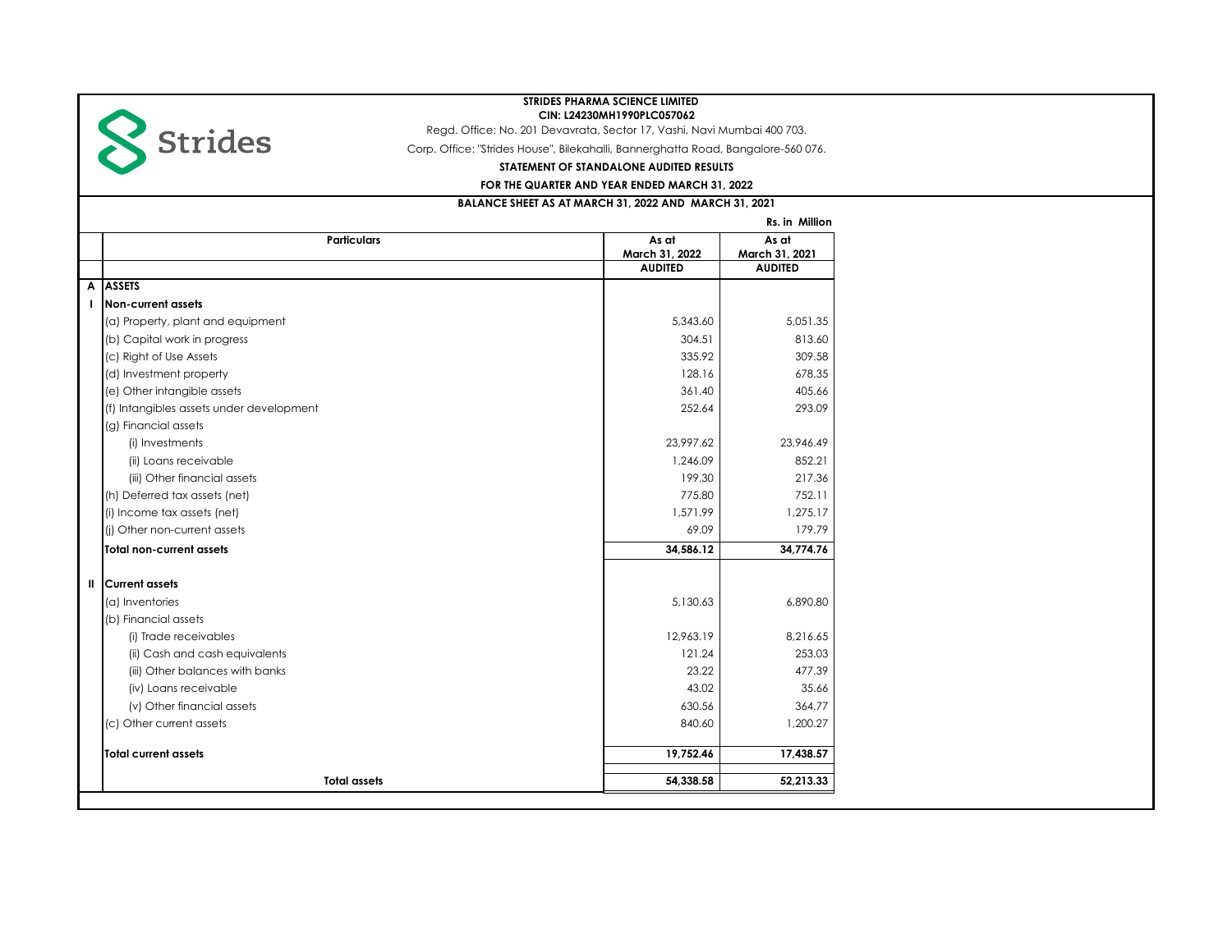

Regd. Office: No. 201 Devavrata, Sector 17, Vashi, Navi Mumbai 400 703.

Corp. Office: "Strides House", Bilekahalli, Bannerghatta Road, Bangalore-560 076.

**STATEMENT OF STANDALONE AUDITED RESULTS**

**FOR THE QUARTER AND YEAR ENDED MARCH 31, 2022**

# **BALANCE SHEET AS AT MARCH 31, 2022 AND MARCH 31, 2021**

|   |                                          |                | Rs. in Million |
|---|------------------------------------------|----------------|----------------|
|   | <b>Particulars</b>                       | As at          | As at          |
|   |                                          | March 31, 2022 | March 31, 2021 |
|   |                                          | <b>AUDITED</b> | <b>AUDITED</b> |
| A | <b>ASSETS</b>                            |                |                |
|   | <b>Non-current assets</b>                |                |                |
|   | (a) Property, plant and equipment        | 5.343.60       | 5.051.35       |
|   | (b) Capital work in progress             | 304.51         | 813.60         |
|   | (c) Right of Use Assets                  | 335.92         | 309.58         |
|   | (d) Investment property                  | 128.16         | 678.35         |
|   | (e) Other intangible assets              | 361.40         | 405.66         |
|   | (f) Intangibles assets under development | 252.64         | 293.09         |
|   | (g) Financial assets                     |                |                |
|   | (i) Investments                          | 23,997.62      | 23.946.49      |
|   | (ii) Loans receivable                    | 1,246.09       | 852.21         |
|   | (iii) Other financial assets             | 199.30         | 217.36         |
|   | (h) Deferred tax assets (net)            | 775.80         | 752.11         |
|   | (i) Income tax assets (net)              | 1,571.99       | 1,275.17       |
|   | (i) Other non-current assets             | 69.09          | 179.79         |
|   | Total non-current assets                 | 34.586.12      | 34,774.76      |
| Ш | <b>Current assets</b>                    |                |                |
|   | (a) Inventories                          | 5,130.63       | 6,890.80       |
|   | (b) Financial assets                     |                |                |
|   | (i) Trade receivables                    | 12.963.19      | 8.216.65       |
|   | (ii) Cash and cash equivalents           | 121.24         | 253.03         |
|   | (iii) Other balances with banks          | 23.22          | 477.39         |
|   | (iv) Loans receivable                    | 43.02          | 35.66          |
|   | (v) Other financial assets               | 630.56         | 364.77         |
|   | (c) Other current assets                 | 840.60         | 1.200.27       |
|   | <b>Total current assets</b>              | 19,752.46      | 17,438.57      |
|   | <b>Total assets</b>                      | 54,338.58      | 52,213.33      |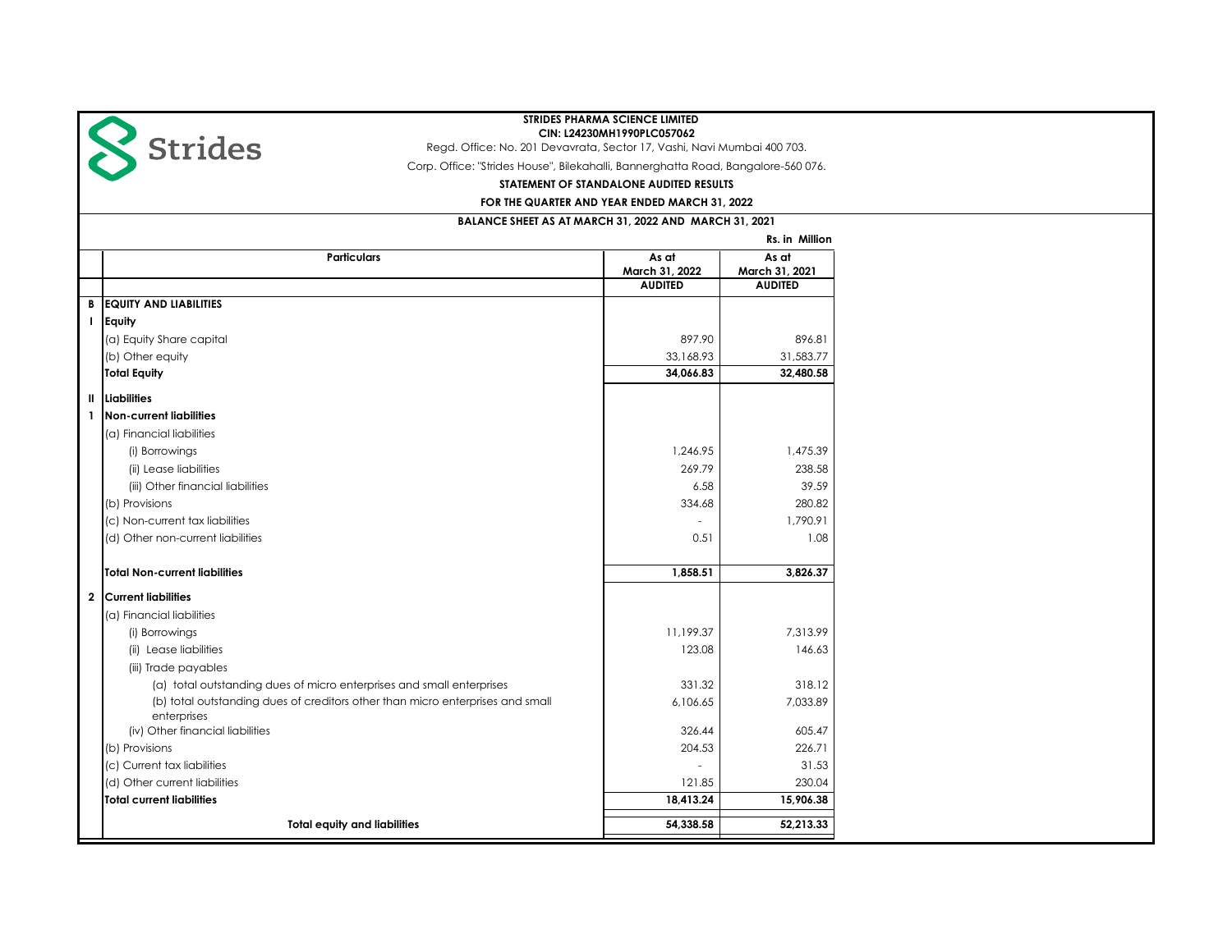

**Total equity and liabilities 64,338.58 52,213.33**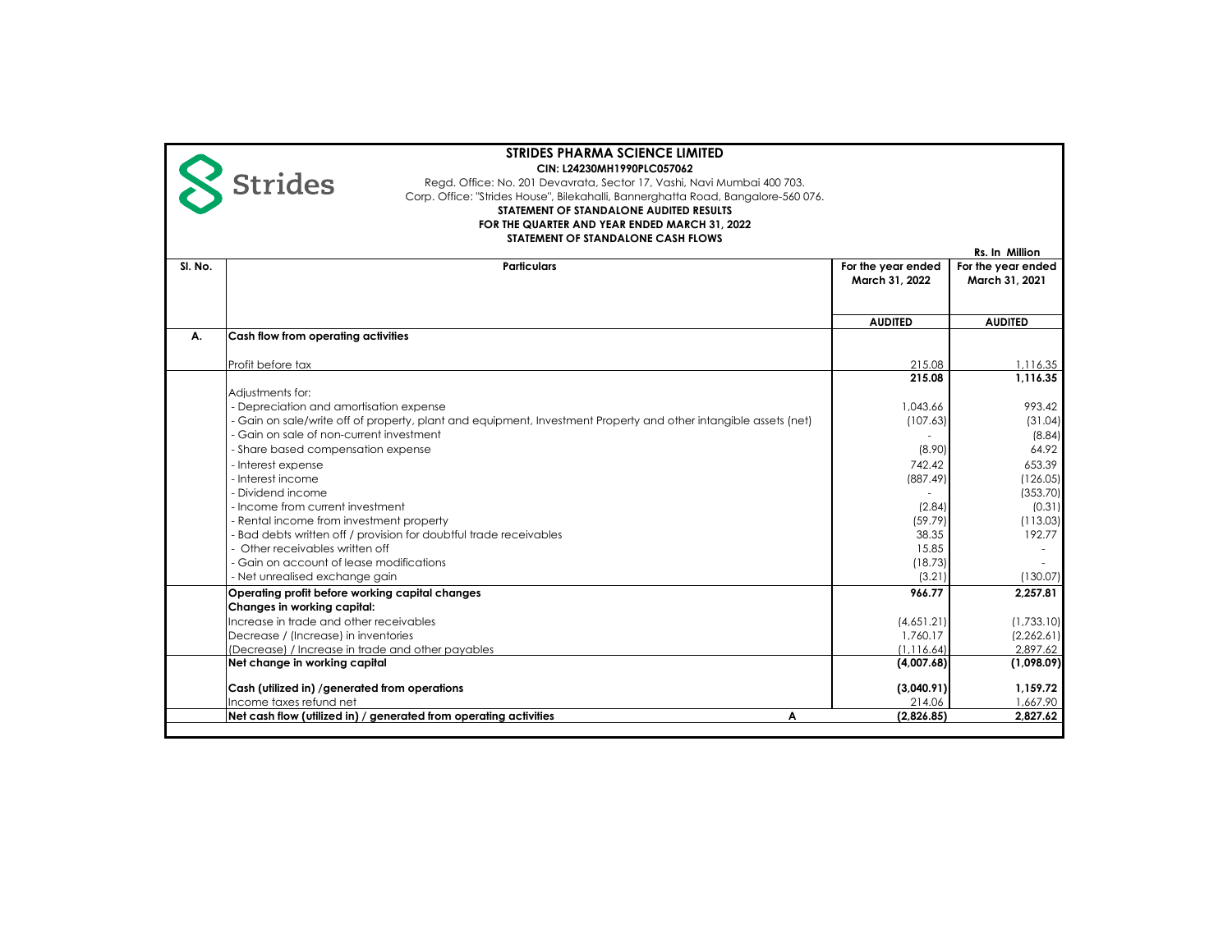|         | <b>STRIDES PHARMA SCIENCE LIMITED</b>                                                                                                                       |                    |                    |
|---------|-------------------------------------------------------------------------------------------------------------------------------------------------------------|--------------------|--------------------|
|         | CIN: L24230MH1990PLC057062                                                                                                                                  |                    |                    |
|         | <b>Strides</b><br>Regd. Office: No. 201 Devavrata, Sector 17, Vashi, Navi Mumbai 400 703.                                                                   |                    |                    |
|         | Corp. Office: "Strides House", Bilekahalli, Bannerghatta Road, Bangalore-560 076.                                                                           |                    |                    |
|         | STATEMENT OF STANDALONE AUDITED RESULTS                                                                                                                     |                    |                    |
|         | FOR THE QUARTER AND YEAR ENDED MARCH 31, 2022                                                                                                               |                    |                    |
|         | STATEMENT OF STANDALONE CASH FLOWS                                                                                                                          |                    | Rs. In Million     |
| SI. No. | <b>Particulars</b>                                                                                                                                          | For the year ended | For the year ended |
|         |                                                                                                                                                             | March 31, 2022     | March 31, 2021     |
|         |                                                                                                                                                             |                    |                    |
|         |                                                                                                                                                             | <b>AUDITED</b>     | <b>AUDITED</b>     |
| А.      | Cash flow from operating activities                                                                                                                         |                    |                    |
|         |                                                                                                                                                             |                    |                    |
|         | Profit before tax                                                                                                                                           | 215.08             | 1,116.35           |
|         |                                                                                                                                                             | 215.08             | 1.116.35           |
|         | Adjustments for:                                                                                                                                            | 1.043.66           | 993.42             |
|         | - Depreciation and amortisation expense<br>- Gain on sale/write off of property, plant and equipment, Investment Property and other intangible assets (net) | (107.63)           | (31.04)            |
|         | - Gain on sale of non-current investment                                                                                                                    |                    | (8.84)             |
|         | - Share based compensation expense                                                                                                                          | (8.90)             | 64.92              |
|         | - Interest expense                                                                                                                                          | 742.42             | 653.39             |
|         | - Interest income                                                                                                                                           | (887.49)           | (126.05)           |
|         | - Dividend income                                                                                                                                           |                    | (353.70)           |
|         | - Income from current investment                                                                                                                            | (2.84)             | (0.31)             |
|         | - Rental income from investment property                                                                                                                    | (59.79)            | (113.03)           |
|         | - Bad debts written off / provision for doubtful trade receivables                                                                                          | 38.35              | 192.77             |
|         | - Other receivables written off                                                                                                                             | 15.85              |                    |
|         | - Gain on account of lease modifications                                                                                                                    | (18.73)            |                    |
|         | - Net unrealised exchange gain                                                                                                                              | (3.21)             | (130.07)           |
|         | Operating profit before working capital changes                                                                                                             | 966.77             | 2.257.81           |
|         | Changes in working capital:                                                                                                                                 |                    |                    |
|         | Increase in trade and other receivables                                                                                                                     | (4,651.21)         | (1,733,10)         |
|         | Decrease / (Increase) in inventories                                                                                                                        | 1.760.17           | (2,262.61)         |
|         | (Decrease) / Increase in trade and other payables                                                                                                           | (1, 116.64)        | 2,897.62           |
|         | Net change in working capital                                                                                                                               | (4,007.68)         | (1,098.09)         |
|         | Cash (utilized in) /generated from operations                                                                                                               | (3,040.91)         | 1,159.72           |
|         | Income taxes refund net                                                                                                                                     | 214.06             | 1,667.90           |
|         | Net cash flow (utilized in) / generated from operating activities<br>Α                                                                                      | (2,826.85)         | 2,827.62           |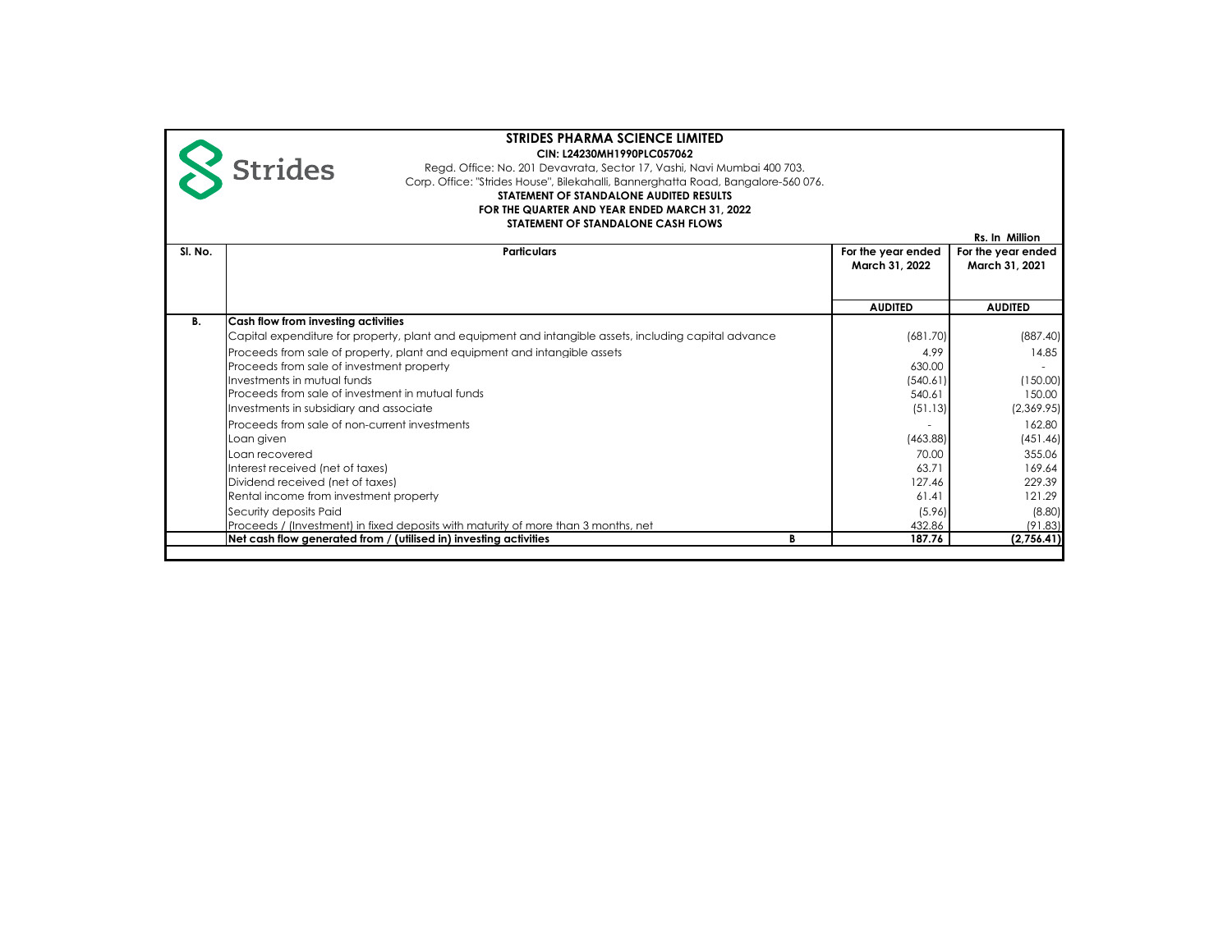|         | <b>STRIDES PHARMA SCIENCE LIMITED</b>                                                                  |                    |                    |
|---------|--------------------------------------------------------------------------------------------------------|--------------------|--------------------|
|         | CIN: L24230MH1990PLC057062                                                                             |                    |                    |
|         | <b>Strides</b><br>Regd. Office: No. 201 Devavrata, Sector 17, Vashi, Navi Mumbai 400 703.              |                    |                    |
|         | Corp. Office: "Strides House", Bilekahalli, Bannerghatta Road, Bangalore-560 076.                      |                    |                    |
|         | STATEMENT OF STANDALONE AUDITED RESULTS                                                                |                    |                    |
|         | FOR THE QUARTER AND YEAR ENDED MARCH 31, 2022                                                          |                    |                    |
|         | STATEMENT OF STANDALONE CASH FLOWS                                                                     |                    |                    |
|         |                                                                                                        |                    | Rs. In Million     |
| SI. No. | <b>Particulars</b>                                                                                     | For the year ended | For the year ended |
|         |                                                                                                        | March 31, 2022     | March 31, 2021     |
|         |                                                                                                        |                    |                    |
|         |                                                                                                        |                    |                    |
|         |                                                                                                        | <b>AUDITED</b>     | <b>AUDITED</b>     |
| В.      | Cash flow from investing activities                                                                    |                    |                    |
|         | Capital expenditure for property, plant and equipment and intangible assets, including capital advance | (681.70)           | (887.40)           |
|         | Proceeds from sale of property, plant and equipment and intangible assets                              | 4.99               | 14.85              |
|         | Proceeds from sale of investment property                                                              | 630.00             |                    |
|         | Investments in mutual funds                                                                            | (540.61)           | (150.00)           |
|         | Proceeds from sale of investment in mutual funds                                                       | 540.61             | 150.00             |
|         | Investments in subsidiary and associate                                                                | (51.13)            | (2,369.95)         |
|         | Proceeds from sale of non-current investments                                                          |                    | 162.80             |
|         | Loan given                                                                                             | (463.88)           | (451.46)           |
|         | Loan recovered                                                                                         | 70.00              | 355.06             |
|         | Interest received (net of taxes)                                                                       | 63.71              | 169.64             |
|         | Dividend received (net of taxes)                                                                       | 127.46             | 229.39             |
|         | Rental income from investment property                                                                 | 61.41              | 121.29             |
|         | Security deposits Paid                                                                                 | (5.96)             | (8.80)             |
|         | Proceeds / (Investment) in fixed deposits with maturity of more than 3 months, net                     | 432.86             | (91.83)            |
|         | Net cash flow generated from / (utilised in) investing activities<br>В                                 | 187.76             | (2,756.41)         |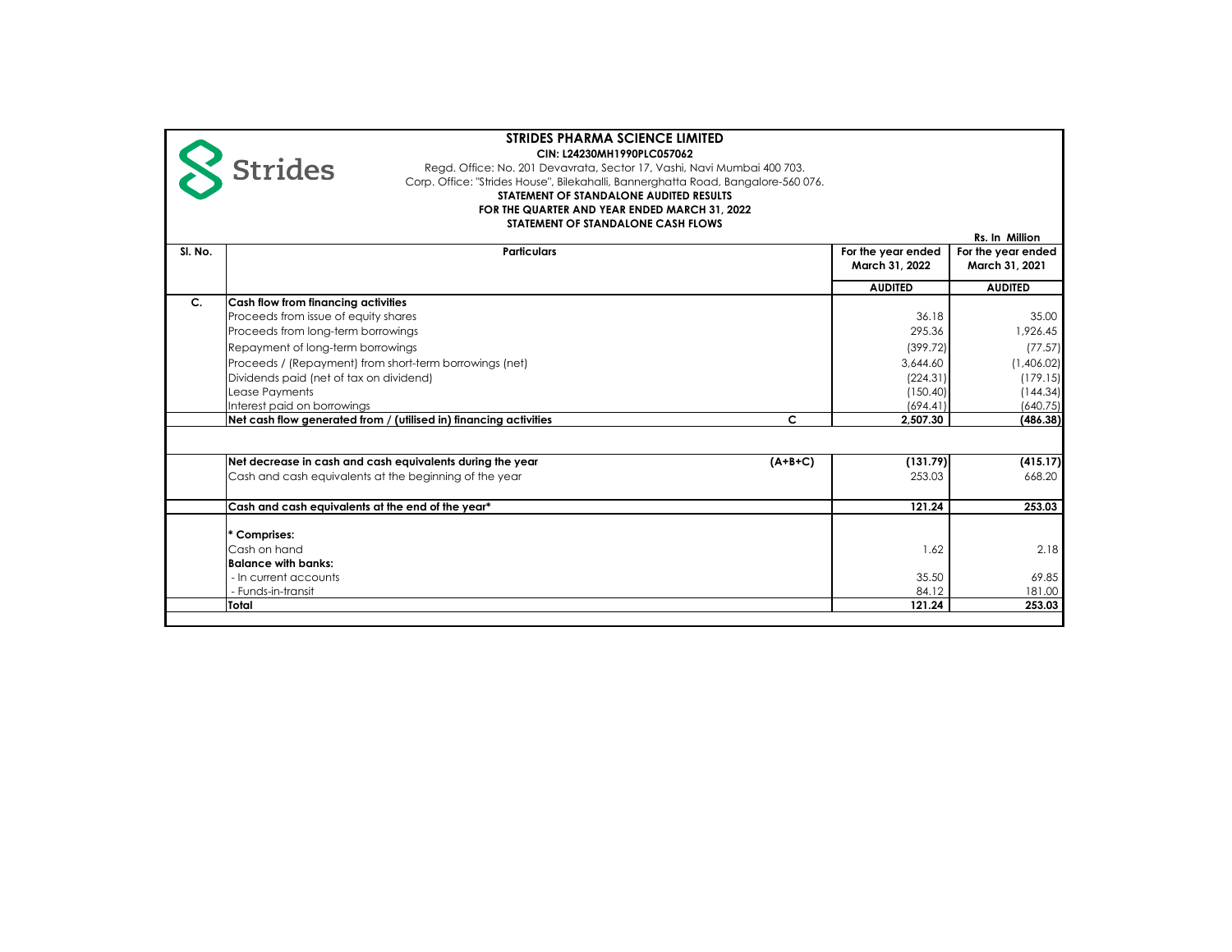|         | <b>STRIDES PHARMA SCIENCE LIMITED</b><br>CIN: L24230MH1990PLC057062<br><b>Strides</b><br>Regd. Office: No. 201 Devavrata, Sector 17, Vashi, Navi Mumbai 400 703.<br>Corp. Office: "Strides House", Bilekahalli, Bannerghatta Road, Bangalore-560 076.<br>STATEMENT OF STANDALONE AUDITED RESULTS<br>FOR THE QUARTER AND YEAR ENDED MARCH 31, 2022<br>STATEMENT OF STANDALONE CASH FLOWS |                                                                             | Rs. In Million                                                                 |
|---------|-----------------------------------------------------------------------------------------------------------------------------------------------------------------------------------------------------------------------------------------------------------------------------------------------------------------------------------------------------------------------------------------|-----------------------------------------------------------------------------|--------------------------------------------------------------------------------|
| SI. No. | <b>Particulars</b>                                                                                                                                                                                                                                                                                                                                                                      | For the year ended<br>March 31, 2022                                        | For the year ended<br>March 31, 2021                                           |
|         |                                                                                                                                                                                                                                                                                                                                                                                         | <b>AUDITED</b>                                                              | <b>AUDITED</b>                                                                 |
| $C_{1}$ | Cash flow from financing activities<br>Proceeds from issue of equity shares<br>Proceeds from long-term borrowings<br>Repayment of long-term borrowings<br>Proceeds / (Repayment) from short-term borrowings (net)<br>Dividends paid (net of tax on dividend)<br>Lease Payments<br>Interest paid on borrowings                                                                           | 36.18<br>295.36<br>(399.72)<br>3,644.60<br>(224.31)<br>(150.40)<br>(694.41) | 35.00<br>1.926.45<br>(77.57)<br>(1,406.02)<br>(179.15)<br>(144.34)<br>(640.75) |
|         | c<br>Net cash flow generated from / (utilised in) financing activities                                                                                                                                                                                                                                                                                                                  | 2,507.30                                                                    | (486.38)                                                                       |
|         | Net decrease in cash and cash equivalents during the year<br>$(A+B+C)$<br>Cash and cash equivalents at the beginning of the year                                                                                                                                                                                                                                                        | (131.79)<br>253.03                                                          | (415.17)<br>668.20                                                             |
|         | Cash and cash equivalents at the end of the year*                                                                                                                                                                                                                                                                                                                                       | 121.24                                                                      | 253.03                                                                         |
|         | * Comprises:<br>Cash on hand<br><b>Balance with banks:</b><br>- In current accounts<br>- Funds-in-transit                                                                                                                                                                                                                                                                               | 1.62<br>35.50<br>84.12                                                      | 2.18<br>69.85<br>181.00                                                        |
|         | Total                                                                                                                                                                                                                                                                                                                                                                                   | 121.24                                                                      | 253.03                                                                         |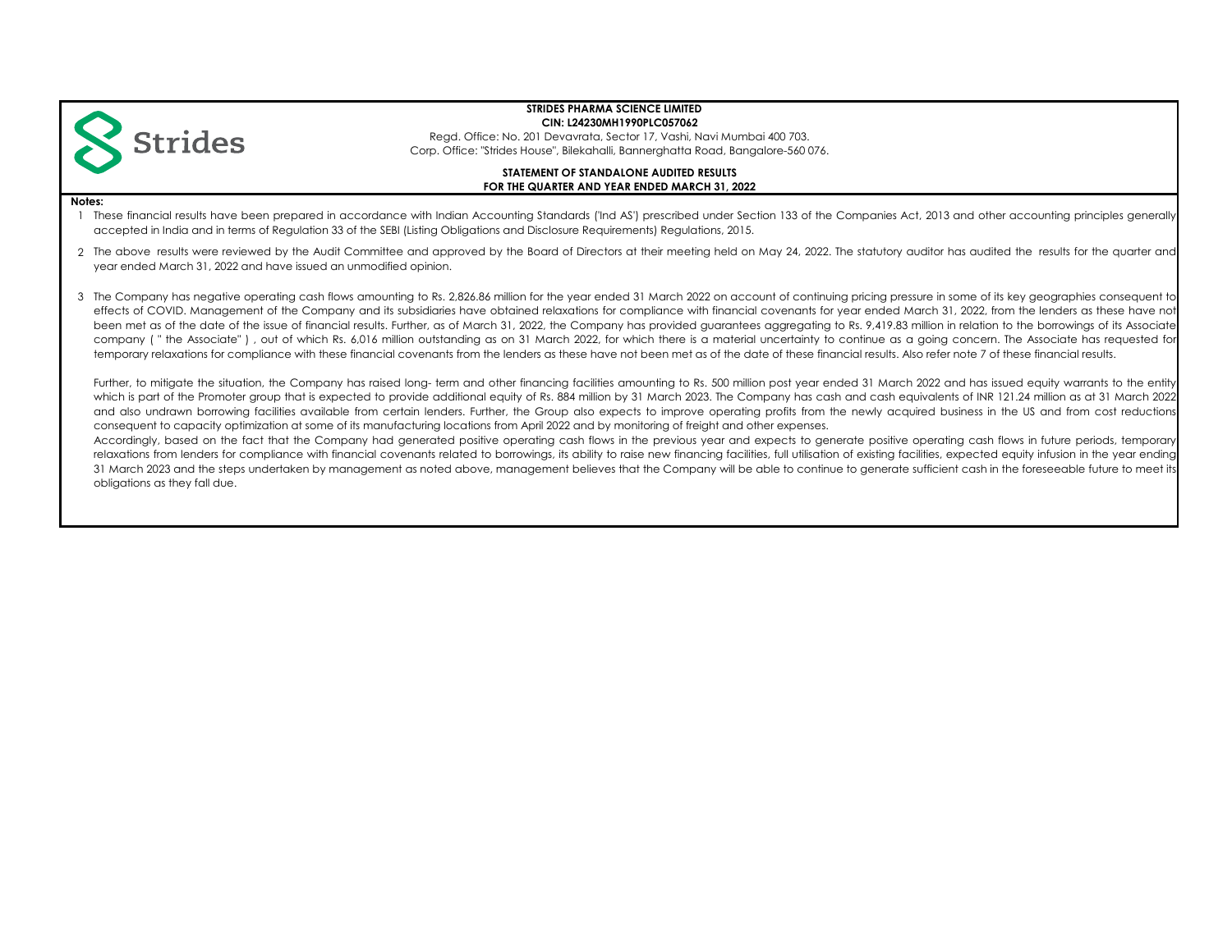

Regd. Office: No. 201 Devavrata, Sector 17, Vashi, Navi Mumbai 400 703. Corp. Office: "Strides House", Bilekahalli, Bannerghatta Road, Bangalore-560 076.

## **FOR THE QUARTER AND YEAR ENDED MARCH 31, 2022 STATEMENT OF STANDALONE AUDITED RESULTS**

#### **Notes:**

1 These financial results have been prepared in accordance with Indian Accounting Standards ('Ind AS') prescribed under Section 133 of the Companies Act, 2013 and other accounting principles generally accepted in India and in terms of Regulation 33 of the SEBI (Listing Obligations and Disclosure Requirements) Regulations, 2015.

2 The above results were reviewed by the Audit Committee and approved by the Board of Directors at their meeting held on May 24, 2022. The statutory auditor has audited the results for the quarter and year ended March 31, 2022 and have issued an unmodified opinion.

3 The Company has negative operating cash flows amounting to Rs. 2,826.86 million for the year ended 31 March 2022 on account of continuing pricing pressure in some of its key geographies consequent to effects of COVID. Management of the Company and its subsidiaries have obtained relaxations for compliance with financial covenants for year ended March 31, 2022, from the lenders as these have not been met as of the date of the issue of financial results. Further, as of March 31, 2022, the Company has provided guarantees aggregating to Rs. 9,419.83 million in relation to the borrowings of its Associate company ( " the Associate" ) , out of which Rs. 6,016 million outstanding as on 31 March 2022, for which there is a material uncertainty to continue as a going concern. The Associate has requested for temporary relaxations for compliance with these financial covenants from the lenders as these have not been met as of the date of these financial results. Also refer note 7 of these financial results.

Further, to mitigate the situation, the Company has raised long-term and other financing facilities amounting to Rs. 500 million post year ended 31 March 2022 and has issued equity warrants to the entity which is part of the Promoter group that is expected to provide additional equity of Rs. 884 million by 31 March 2023. The Company has cash and cash equivalents of INR 121.24 million as at 31 March 2022 and also undrawn borrowing facilities available from certain lenders. Further, the Group also expects to improve operating profits from the newly acquired business in the US and from cost reductions consequent to capacity optimization at some of its manufacturing locations from April 2022 and by monitoring of freight and other expenses.

Accordingly, based on the fact that the Company had generated positive operating cash flows in the previous year and expects to generate positive operating cash flows in future periods, temporary relaxations from lenders for compliance with financial covenants related to borrowings, its ability to raise new financing facilities, full utilisation of existing facilities, expected equity infusion in the year ending 31 March 2023 and the steps undertaken by management as noted above, management believes that the Company will be able to continue to generate sufficient cash in the foreseeable future to meet its obligations as they fall due.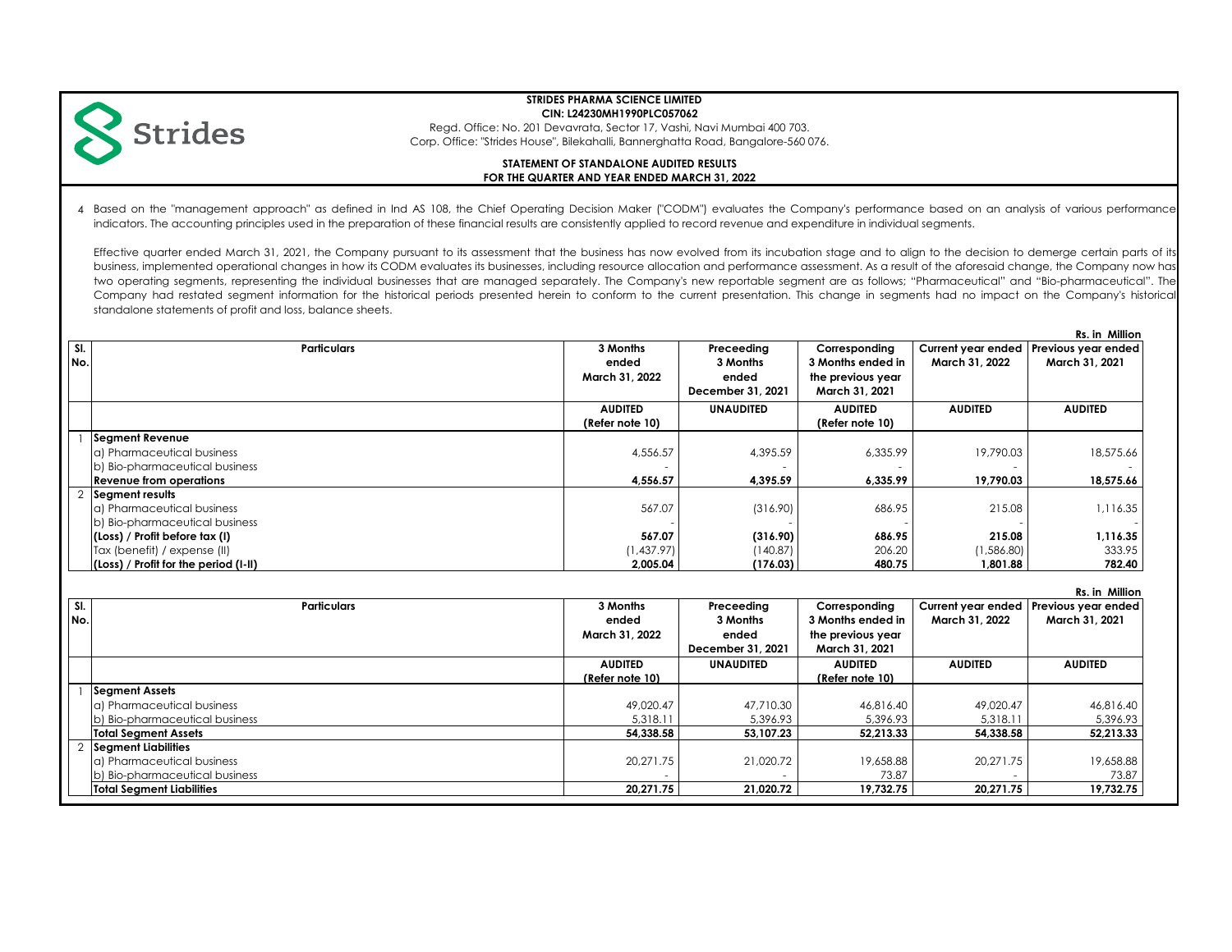

# **STRIDES PHARMA SCIENCE LIMITED**

**CIN: L24230MH1990PLC057062**

Regd. Office: No. 201 Devavrata, Sector 17, Vashi, Navi Mumbai 400 703. Corp. Office: "Strides House", Bilekahalli, Bannerghatta Road, Bangalore-560 076.

## **FOR THE QUARTER AND YEAR ENDED MARCH 31, 2022 STATEMENT OF STANDALONE AUDITED RESULTS**

4 Based on the "management approach" as defined in Ind AS 108, the Chief Operating Decision Maker ("CODM") evaluates the Company's performance based on an analysis of various performance indicators. The accounting principles used in the preparation of these financial results are consistently applied to record revenue and expenditure in individual segments.

Effective quarter ended March 31, 2021, the Company pursuant to its assessment that the business has now evolved from its incubation stage and to align to the decision to demerge certain parts of its business, implemented operational changes in how its CODM evaluates its businesses, including resource allocation and performance assessment. As a result of the aforesaid change, the Company now has two operating segments, representing the individual businesses that are managed separately. The Company's new reportable segment are as follows; "Pharmaceutical" and "Bio-pharmaceutical". The Company had restated segment information for the historical periods presented herein to conform to the current presentation. This change in segments had no impact on the Company's historical standalone statements of profit and loss, balance sheets.

|     | Rs. in Million                        |                 |                   |                   |                |                                        |
|-----|---------------------------------------|-----------------|-------------------|-------------------|----------------|----------------------------------------|
| SI. | <b>Particulars</b>                    | 3 Months        | Preceeding        | Corresponding     |                | Current year ended Previous year ended |
| No. |                                       | ended           | 3 Months          | 3 Months ended in | March 31, 2022 | March 31, 2021                         |
|     |                                       | March 31, 2022  | ended             | the previous year |                |                                        |
|     |                                       |                 | December 31, 2021 | March 31, 2021    |                |                                        |
|     |                                       | <b>AUDITED</b>  | <b>UNAUDITED</b>  | <b>AUDITED</b>    | <b>AUDITED</b> | <b>AUDITED</b>                         |
|     |                                       | (Refer note 10) |                   | (Refer note 10)   |                |                                        |
|     | Segment Revenue                       |                 |                   |                   |                |                                        |
|     | la) Pharmaceutical business           | 4,556.57        | 4,395.59          | 6,335.99          | 19,790.03      | 18,575.66                              |
|     | b) Bio-pharmaceutical business        |                 |                   |                   |                |                                        |
|     | <b>Revenue from operations</b>        | 4,556.57        | 4,395.59          | 6,335.99          | 19,790.03      | 18,575.66                              |
|     | 2 Segment results                     |                 |                   |                   |                |                                        |
|     | a) Pharmaceutical business            | 567.07          | (316.90)          | 686.95            | 215.08         | 1,116.35                               |
|     | b) Bio-pharmaceutical business        |                 |                   |                   |                |                                        |
|     | (Loss) / Profit before tax (I)        | 567.07          | (316.90)          | 686.95            | 215.08         | 1,116.35                               |
|     | Tax (benefit) / expense (II)          | (1,437.97)      | (140.87)          | 206.20            | 1,586.80       | 333.95                                 |
|     | (Loss) / Profit for the period (I-II) | 2,005.04        | (176.03)          | 480.75            | 1.801.88       | 782.40                                 |

| SI. | Current year ended<br><b>Particulars</b><br>3 Months<br>Preceeding<br>Corresponding |                 |                   |                   |                | RS.IN MIIIION<br>Previous year ended |
|-----|-------------------------------------------------------------------------------------|-----------------|-------------------|-------------------|----------------|--------------------------------------|
| No. |                                                                                     | ended           | 3 Months          | 3 Months ended in | March 31, 2022 | March 31, 2021                       |
|     |                                                                                     | March 31, 2022  | ended             | the previous year |                |                                      |
|     |                                                                                     |                 | December 31, 2021 | March 31, 2021    |                |                                      |
|     |                                                                                     | <b>AUDITED</b>  | <b>UNAUDITED</b>  | <b>AUDITED</b>    | <b>AUDITED</b> | <b>AUDITED</b>                       |
|     |                                                                                     | (Refer note 10) |                   | (Refer note 10)   |                |                                      |
|     | <b>Segment Assets</b>                                                               |                 |                   |                   |                |                                      |
|     | a) Pharmaceutical business                                                          | 49.020.47       | 47,710.30         | 46.816.40         | 49.020.47      | 46,816.40                            |
|     | b) Bio-pharmaceutical business                                                      | 5,318.11        | 5,396.93          | 5,396.93          | 5,318.11       | 5,396.93                             |
|     | <b>Total Segment Assets</b>                                                         | 54,338.58       | 53.107.23         | 52.213.33         | 54.338.58      | 52,213.33                            |
|     | Seament Liabilities                                                                 |                 |                   |                   |                |                                      |
|     | a) Pharmaceutical business                                                          | 20.271.75       | 21,020,72         | 19,658.88         | 20.271.75      | 19,658.88                            |
|     | b) Bio-pharmaceutical business                                                      |                 |                   | 73.87             |                | 73.87                                |
|     | <b>Total Segment Liabilities</b>                                                    | 20.271.75       | 21,020.72         | 19.732.75         | 20.271.75      | 19,732.75                            |

 **Rs. in Million**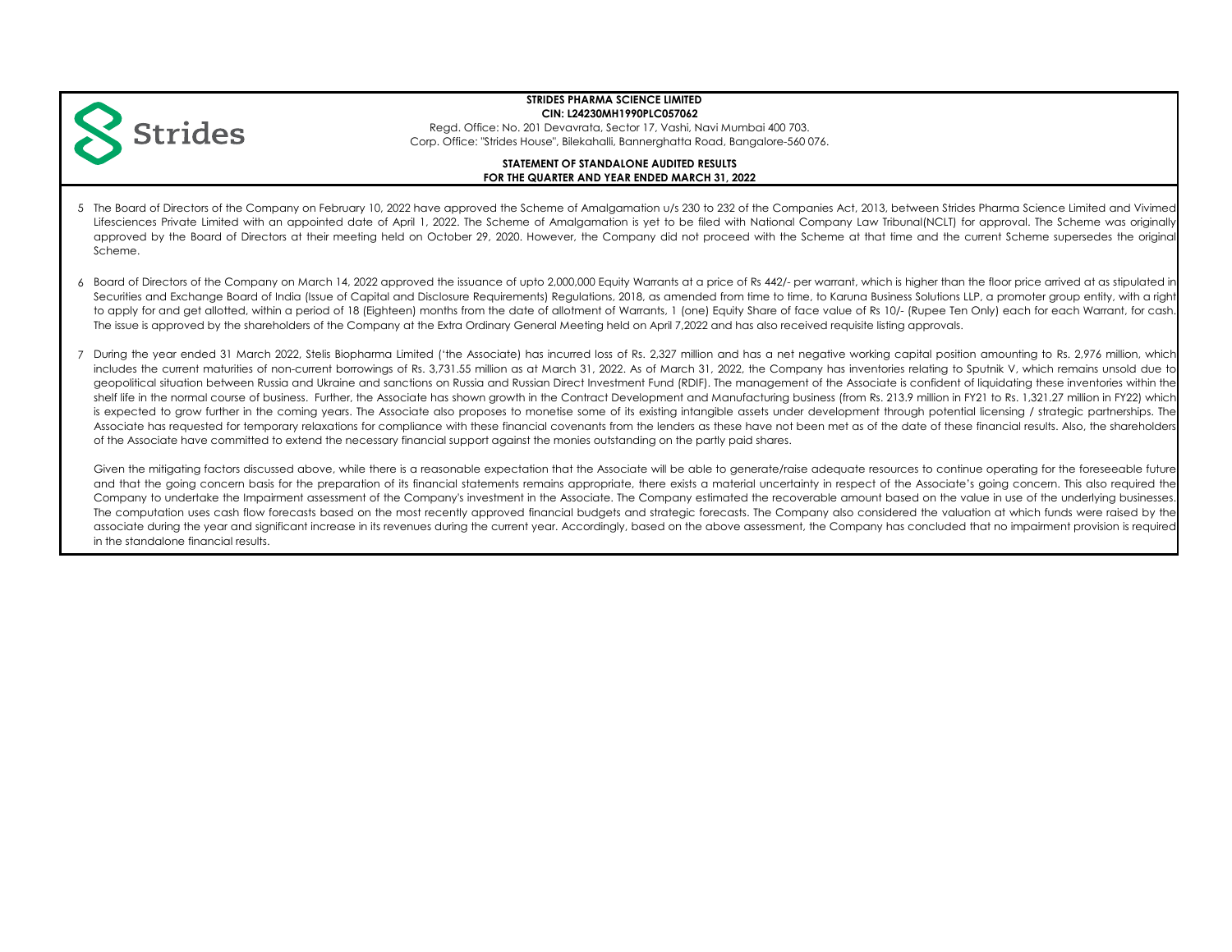

Regd. Office: No. 201 Devavrata, Sector 17, Vashi, Navi Mumbai 400 703. Corp. Office: "Strides House", Bilekahalli, Bannerghatta Road, Bangalore-560 076.

## **FOR THE QUARTER AND YEAR ENDED MARCH 31, 2022 STATEMENT OF STANDALONE AUDITED RESULTS**

- 5 The Board of Directors of the Company on February 10, 2022 have approved the Scheme of Amalgamation u/s 230 to 232 of the Companies Act, 2013, between Strides Pharma Science Limited and Vivimed Lifesciences Private Limited with an appointed date of April 1, 2022. The Scheme of Amalgamation is yet to be filed with National Company Law Tribunal(NCLT) for approval. The Scheme was originally approved by the Board of Directors at their meeting held on October 29, 2020. However, the Company did not proceed with the Scheme at that time and the current Scheme supersedes the original Scheme.
- 6 Board of Directors of the Company on March 14, 2022 approved the issuance of upto 2,000,000 Equity Warrants at a price of Rs 442/- per warrant, which is higher than the floor price arrived at as stipulated in Securities and Exchange Board of India (Issue of Capital and Disclosure Requirements) Regulations, 2018, as amended from time to time, to Karuna Business Solutions LLP, a promoter group entity, with a right to apply for and get allotted, within a period of 18 (Eighteen) months from the date of allotment of Warrants, 1 (one) Equity Share of face value of Rs 10/- (Rupee Ten Only) each for each Warrant, for cash. The issue is approved by the shareholders of the Company at the Extra Ordinary General Meeting held on April 7,2022 and has also received requisite listing approvals.
- 7 During the year ended 31 March 2022, Stelis Biopharma Limited ('the Associate) has incurred loss of Rs. 2,327 million and has a net negative working capital position amounting to Rs. 2,976 million, which includes the current maturities of non-current borrowings of Rs. 3,731.55 million as at March 31, 2022. As of March 31, 2022, the Company has inventories relating to Sputnik V, which remains unsold due to geopolitical situation between Russia and Ukraine and sanctions on Russia and Russian Direct Investment Fund (RDIF). The management of the Associate is confident of liquidating these inventories within the shelf life in the normal course of business. Further, the Associate has shown growth in the Contract Development and Manufacturing business (from Rs. 213.9 million in FY21 to Rs. 1,321.27 million in FY22) which is expected to grow further in the coming years. The Associate also proposes to monetise some of its existing intangible assets under development through potential licensing / strategic partnerships. The Associate has requested for temporary relaxations for compliance with these financial covenants from the lenders as these have not been met as of the date of these financial results. Also, the shareholders of the Associate have committed to extend the necessary financial support against the monies outstanding on the partly paid shares.

Given the mitigating factors discussed above, while there is a reasonable expectation that the Associate will be able to generate/raise adequate resources to continue operating for the foreseeable future and that the going concern basis for the preparation of its financial statements remains appropriate, there exists a material uncertainty in respect of the Associate's going concern. This also required the Company to undertake the Impairment assessment of the Company's investment in the Associate. The Company estimated the recoverable amount based on the value in use of the underlying businesses. The computation uses cash flow forecasts based on the most recently approved financial budgets and strategic forecasts. The Company also considered the valuation at which funds were raised by the associate during the year and significant increase in its revenues during the current year. Accordingly, based on the above assessment, the Company has concluded that no impairment provision is required in the standalone financial results.